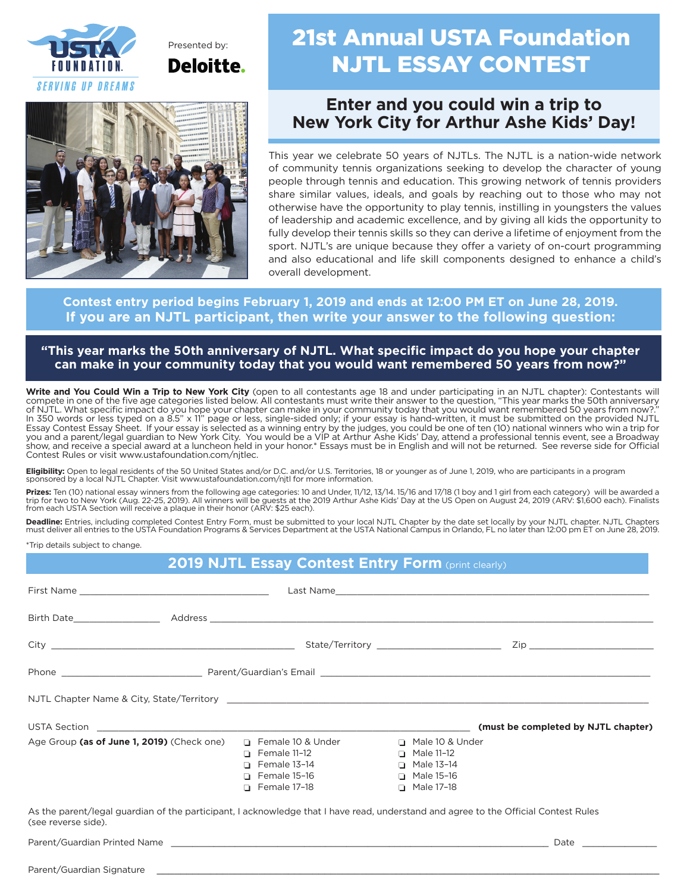

Presented by: **Deloitte.** 



# 21st Annual USTA Foundation NJTL ESSAY CONTEST

## **Enter and you could win a trip to New York City for Arthur Ashe Kids' Day!**

This year we celebrate 50 years of NJTLs. The NJTL is a nation-wide network of community tennis organizations seeking to develop the character of young people through tennis and education. This growing network of tennis providers share similar values, ideals, and goals by reaching out to those who may not otherwise have the opportunity to play tennis, instilling in youngsters the values of leadership and academic excellence, and by giving all kids the opportunity to fully develop their tennis skills so they can derive a lifetime of enjoyment from the sport. NJTL's are unique because they offer a variety of on-court programming and also educational and life skill components designed to enhance a child's overall development.

### **Contest entry period begins February 1, 2019 and ends at 12:00 PM ET on June 28, 2019. If you are an NJTL participant, then write your answer to the following question:**

**"This year marks the 50th anniversary of NJTL. What specific impact do you hope your chapter can make in your community today that you would want remembered 50 years from now?"**

**Write and You Could Win a Trip to New York City** (open to all contestants age 18 and under participating in an NJTL chapter): Contestants will compete in one of the five age categories listed below. All contestants must write their answer to the question, "This year marks the 50th anniversary of NJTL. What specific impact do you hope your chapter can make in your community today that you would want remembered 50 years from now?." In 350 words or less typed on a 8.5" x 11" page or less, single-sided only; if your essay is hand-written, it must be submitted on the provided NJTL Essay Contest Essay Sheet. If your essay is selected as a winning entry by the judges, you could be one of ten (10) national winners who win a trip for you and a parent/legal guardian to New York City. You would be a VIP at Arthur Ashe Kids' Day, attend a professional tennis event, see a Broadway show, and receive a special award at a luncheon held in your honor.\* Essays must be in English and will not be returned. See reverse side for Official Contest Rules or visit www.ustafoundation.com/njtlec.

**Eligibility:** Open to legal residents of the 50 United States and/or D.C. and/or U.S. Territories, 18 or younger as of June 1, 2019, who are participants in a program sponsored by a local NJTL Chapter. Visit www.ustafoundation.com/njtl for more information.

**Prizes:** Ten (10) national essay winners from the following age categories: 10 and Under, 11/12, 13/14. 15/16 and 17/18 (1 boy and 1 girl from each category) will be awarded a<br>trip for two to New York (Aug. 22-25, 2019).

**Deadline:** Entries, including completed Contest Entry Form, must be submitted to your local NJTL Chapter by the date set locally by your NJTL chapter. NJTL Chapters must deliver all entries to the USTA Foundation Programs & Services Department at the USTA National Campus in Orlando, FL no later than 12:00 pm ET on June 28, 2019.

\*Trip details subject to change.

### **2019 NJTL Essay Contest Entry Form (print clearly)**

| USTA Section <b>Example 2018</b>                                                                                                                           |                                                                                          |                                                                        | (must be completed by NJTL chapter) |
|------------------------------------------------------------------------------------------------------------------------------------------------------------|------------------------------------------------------------------------------------------|------------------------------------------------------------------------|-------------------------------------|
| Age Group (as of June 1, 2019) (Check one) D Female 10 & Under D Male 10 & Under                                                                           | $\Box$ Female 11-12<br>$\Box$ Female 13-14<br>$\Box$ Female 15-16<br>$\Box$ Female 17-18 | $\Box$ Male 11-12<br>$\Box$ Male 13-14<br>□ Male 15-16<br>□ Male 17-18 |                                     |
| As the parent/legal guardian of the participant, I acknowledge that I have read, understand and agree to the Official Contest Rules<br>(see reverse side). |                                                                                          |                                                                        |                                     |
| Parent/Guardian Printed Name                                                                                                                               |                                                                                          |                                                                        | Date                                |